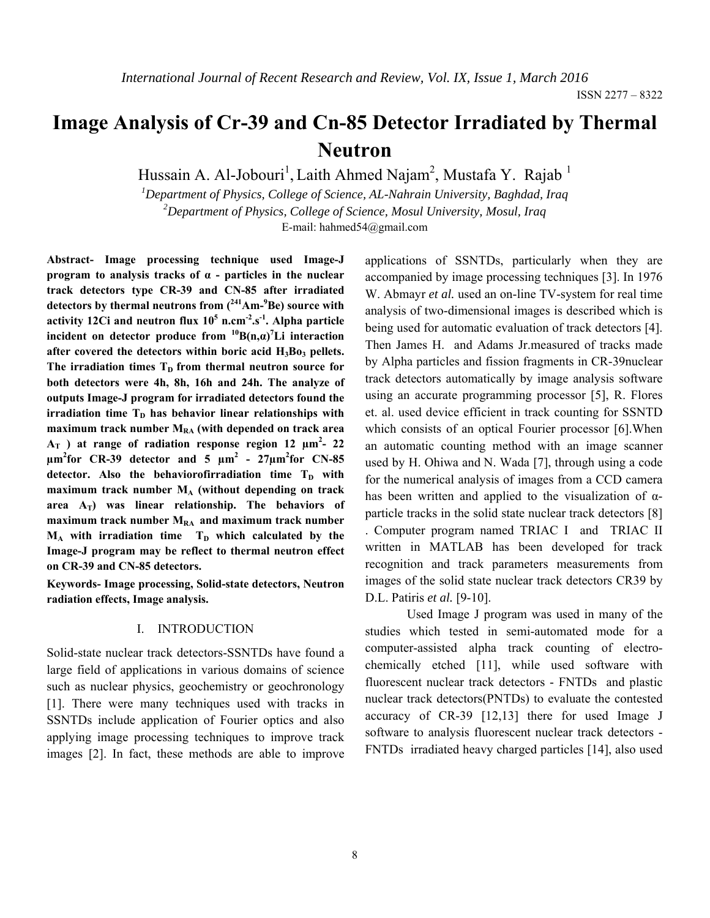# **Image Analysis of Cr-39 and Cn-85 Detector Irradiated by Thermal Neutron**

Hussain A. Al-Jobouri<sup>1</sup>, Laith Ahmed Najam<sup>2</sup>, Mustafa Y. Rajab<sup>1</sup>

*1 Department of Physics, College of Science, AL-Nahrain University, Baghdad, Iraq 2 Department of Physics, College of Science, Mosul University, Mosul, Iraq*  E-mail: hahmed54@gmail.com

**Abstract- Image processing technique used Image-J program to analysis tracks of α - particles in the nuclear track detectors type CR-39 and CN-85 after irradiated detectors by thermal neutrons from (241Am-9 Be) source with activity 12Ci and neutron flux 10<sup>5</sup> n.cm-2.s-1. Alpha particle incident on detector produce from**  ${}^{10}B(n,\alpha)$ **<sup>7</sup>Li interaction** after covered the detectors within boric acid H<sub>3</sub>Bo<sub>3</sub> pellets. The irradiation times  $T<sub>D</sub>$  from thermal neutron source for **both detectors were 4h, 8h, 16h and 24h. The analyze of outputs Image-J program for irradiated detectors found the**   $irradiation time T<sub>D</sub>$  has behavior linear relationships with maximum track number M<sub>RA</sub> (with depended on track area  $A_T$  ) at range of radiation response region 12  $\mu$ m<sup>2</sup>- 22  $\mu$ m<sup>2</sup> for CR-39 detector and 5  $\mu$ m<sup>2</sup> - 27 $\mu$ m<sup>2</sup> for CN-85 detector. Also the behaviorofirradiation time T<sub>D</sub> with maximum track number M<sub>A</sub> (without depending on track area  $A_T$ ) was linear relationship. The behaviors of maximum track number M<sub>RA</sub> and maximum track number  $M_A$  with irradiation time  $T_D$  which calculated by the **Image-J program may be reflect to thermal neutron effect on CR-39 and CN-85 detectors.** 

**Keywords- Image processing, Solid-state detectors, Neutron radiation effects, Image analysis.** 

#### I. INTRODUCTION

Solid-state nuclear track detectors-SSNTDs have found a large field of applications in various domains of science such as nuclear physics, geochemistry or geochronology [1]. There were many techniques used with tracks in SSNTDs include application of Fourier optics and also applying image processing techniques to improve track images [2]. In fact, these methods are able to improve

applications of SSNTDs, particularly when they are accompanied by image processing techniques [3]. In 1976 W. Abmayr *et al.* used an on-line TV-system for real time analysis of two-dimensional images is described which is being used for automatic evaluation of track detectors [4]. Then James H. and Adams Jr.measured of tracks made by Alpha particles and fission fragments in CR-39nuclear track detectors automatically by image analysis software using an accurate programming processor [5], R. Flores et. al. used device efficient in track counting for SSNTD which consists of an optical Fourier processor [6].When an automatic counting method with an image scanner used by H. Ohiwa and N. Wada [7], through using a code for the numerical analysis of images from a CCD camera has been written and applied to the visualization of  $\alpha$ particle tracks in the solid state nuclear track detectors [8] . Computer program named TRIAC I and TRIAC II written in MATLAB has been developed for track recognition and track parameters measurements from images of the solid state nuclear track detectors CR39 by D.L. Patiris *et al.* [9-10].

Used Image J program was used in many of the studies which tested in semi-automated mode for a computer-assisted alpha track counting of electrochemically etched [11], while used software with fluorescent nuclear track detectors - FNTDs and plastic nuclear track detectors(PNTDs) to evaluate the contested accuracy of CR-39 [12,13] there for used Image J software to analysis fluorescent nuclear track detectors - FNTDs irradiated heavy charged particles [14], also used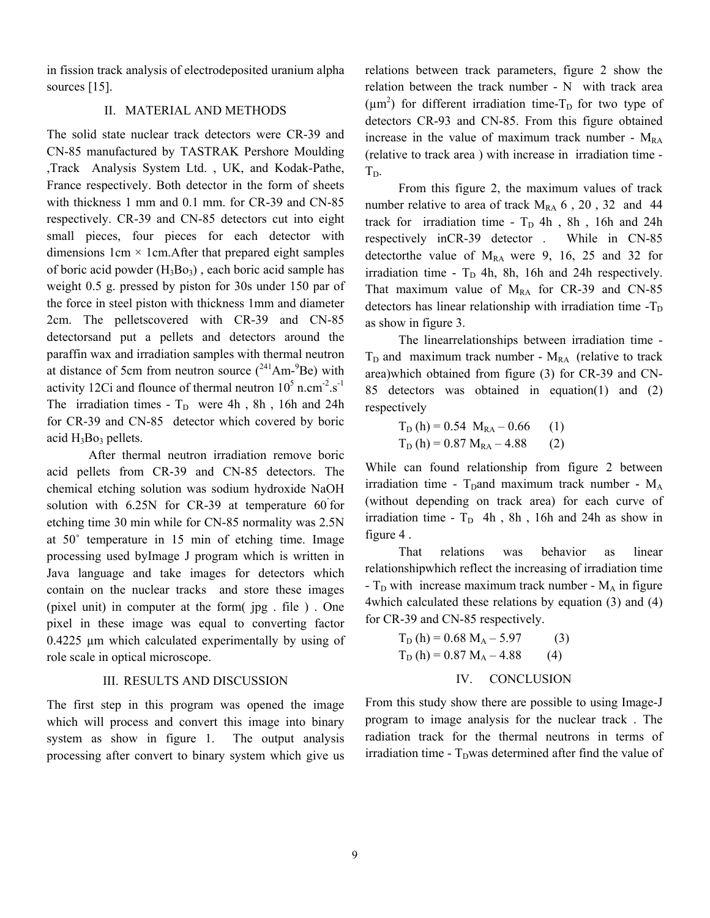in fission track analysis of electrodeposited uranium alpha sources [15].

## II. MATERIAL AND METHODS

The solid state nuclear track detectors were CR-39 and CN-85 manufactured by TASTRAK Pershore Moulding ,Track Analysis System Ltd. , UK, and Kodak-Pathe, France respectively. Both detector in the form of sheets with thickness 1 mm and 0.1 mm. for CR-39 and CN-85 respectively. CR-39 and CN-85 detectors cut into eight small pieces, four pieces for each detector with dimensions  $1 \text{cm} \times 1 \text{cm}$ . After that prepared eight samples of boric acid powder  $(H_3Bo_3)$ , each boric acid sample has weight 0.5 g. pressed by piston for 30s under 150 par of the force in steel piston with thickness 1mm and diameter 2cm. The pelletscovered with CR-39 and CN-85 detectorsand put a pellets and detectors around the paraffin wax and irradiation samples with thermal neutron at distance of 5cm from neutron source  $(^{241}Am-{}^{9}Be)$  with activity 12Ci and flounce of thermal neutron  $10^5$  n.cm<sup>-2</sup>.s<sup>-1</sup> The irradiation times -  $T_D$  were 4h, 8h, 16h and 24h for CR-39 and CN-85 detector which covered by boric acid  $H_3Bo_3$  pellets.

After thermal neutron irradiation remove boric acid pellets from CR-39 and CN-85 detectors. The chemical etching solution was sodium hydroxide NaOH solution with 6.25N for CR-39 at temperature 60 for etching time 30 min while for CN-85 normality was 2.5N at 50˚ temperature in 15 min of etching time. Image processing used byImage J program which is written in Java language and take images for detectors which contain on the nuclear tracks and store these images (pixel unit) in computer at the form( jpg . file ) . One pixel in these image was equal to converting factor 0.4225 µm which calculated experimentally by using of role scale in optical microscope.

## III. RESULTS AND DISCUSSION

The first step in this program was opened the image which will process and convert this image into binary system as show in figure 1. The output analysis processing after convert to binary system which give us

relations between track parameters, figure 2 show the relation between the track number - N with track area  $(\mu m^2)$  for different irradiation time-T<sub>D</sub> for two type of detectors CR-93 and CN-85. From this figure obtained increase in the value of maximum track number -  $M_{RA}$ (relative to track area ) with increase in irradiation time -  $T<sub>D</sub>$ .

 From this figure 2, the maximum values of track number relative to area of track  $M_{RA}$  6, 20, 32 and 44 track for irradiation time -  $T_D$  4h, 8h, 16h and 24h respectively inCR-39 detector . While in CN-85 detectorthe value of  $M_{RA}$  were 9, 16, 25 and 32 for irradiation time -  $T_D$  4h, 8h, 16h and 24h respectively. That maximum value of  $M_{RA}$  for CR-39 and CN-85 detectors has linear relationship with irradiation time  $-T_D$ as show in figure 3.

The linearrelationships between irradiation time -  $T_D$  and maximum track number -  $M_{RA}$  (relative to track area)which obtained from figure (3) for CR-39 and CN-85 detectors was obtained in equation(1) and (2) respectively

$$
T_D(h) = 0.54 M_{RA} - 0.66
$$
 (1)  

$$
T_D(h) = 0.87 M_{RA} - 4.88
$$
 (2)

While can found relationship from figure 2 between irradiation time -  $T<sub>D</sub>$ and maximum track number -  $M<sub>A</sub>$ (without depending on track area) for each curve of irradiation time -  $T_D$  4h, 8h, 16h and 24h as show in figure 4 .

That relations was behavior as linear relationshipwhich reflect the increasing of irradiation time -  $T_D$  with increase maximum track number -  $M_A$  in figure 4which calculated these relations by equation (3) and (4) for CR-39 and CN-85 respectively.

$$
T_{D} (h) = 0.68 M_{A} - 5.97
$$
 (3)  
\n
$$
T_{D} (h) = 0.87 M_{A} - 4.88
$$
 (4)  
\nIV. CONCLUSION

From this study show there are possible to using Image-J program to image analysis for the nuclear track . The radiation track for the thermal neutrons in terms of irradiation time -  $T<sub>D</sub>$ was determined after find the value of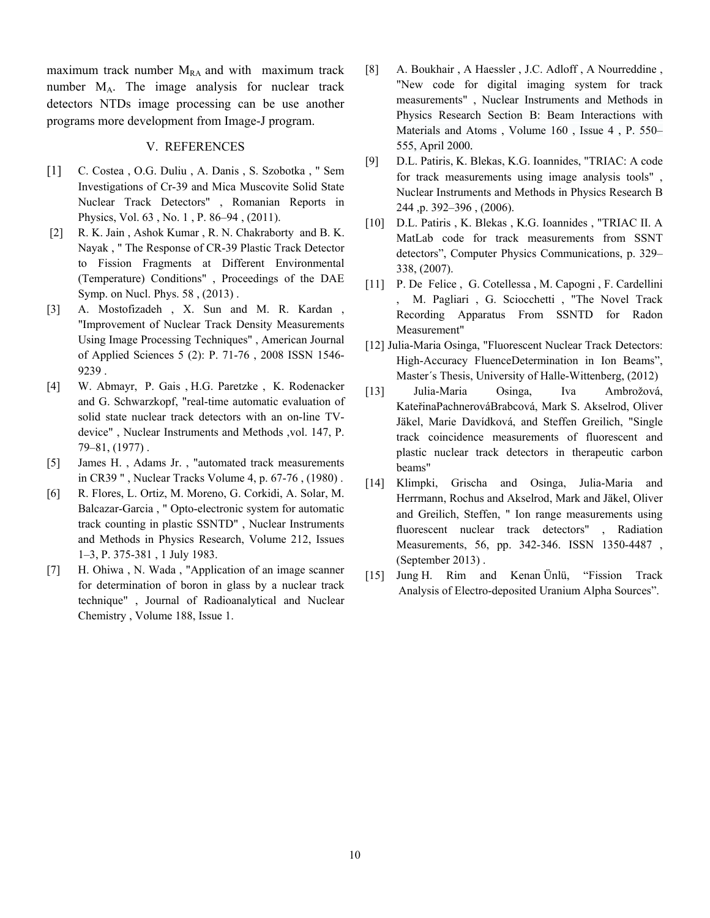maximum track number  $M_{RA}$  and with maximum track number MA. The image analysis for nuclear track detectors NTDs image processing can be use another programs more development from Image-J program.

## V. REFERENCES

- [1] C. Costea , O.G. Duliu , A. Danis , S. Szobotka , " Sem Investigations of Cr-39 and Mica Muscovite Solid State Nuclear Track Detectors" , Romanian Reports in Physics, Vol. 63 , No. 1 , P. 86–94 , (2011).
- [2] R. K. Jain , Ashok Kumar , R. N. Chakraborty and B. K. Nayak , " The Response of CR-39 Plastic Track Detector to Fission Fragments at Different Environmental (Temperature) Conditions" , Proceedings of the DAE Symp. on Nucl. Phys. 58 , (2013) .
- [3] A. Mostofizadeh , X. Sun and M. R. Kardan , "Improvement of Nuclear Track Density Measurements Using Image Processing Techniques" , American Journal of Applied Sciences 5 (2): P. 71-76 , 2008 ISSN 1546- 9239 .
- [4] W. Abmayr, P. Gais , H.G. Paretzke , K. Rodenacker and G. Schwarzkopf, "real-time automatic evaluation of solid state nuclear track detectors with an on-line TVdevice" , Nuclear Instruments and Methods ,vol. 147, P. 79–81, (1977) .
- [5] James H. , Adams Jr. , "automated track measurements in CR39 " , Nuclear Tracks Volume 4, p. 67-76 , (1980) .
- [6] R. Flores, L. Ortiz, M. Moreno, G. Corkidi, A. Solar, M. Balcazar-Garcia , " Opto-electronic system for automatic track counting in plastic SSNTD" , Nuclear Instruments and Methods in Physics Research, Volume 212, Issues 1–3, P. 375-381 , 1 July 1983.
- [7] H. Ohiwa , N. Wada , "Application of an image scanner for determination of boron in glass by a nuclear track technique" , Journal of Radioanalytical and Nuclear Chemistry , Volume 188, Issue 1.
- [8] A. Boukhair, A Haessler, J.C. Adloff, A Nourreddine, "New code for digital imaging system for track measurements" , Nuclear Instruments and Methods in Physics Research Section B: Beam Interactions with Materials and Atoms , Volume 160 , Issue 4 , P. 550– 555, April 2000*.*
- [9] D.L. Patiris, K. Blekas, K.G. Ioannides, "TRIAC: A code for track measurements using image analysis tools" , Nuclear Instruments and Methods in Physics Research B 244 ,p. 392–396 , (2006).
- [10] D.L. Patiris , K. Blekas , K.G. Ioannides , "TRIAC II. A MatLab code for track measurements from SSNT detectors", Computer Physics Communications, p. 329– 338, (2007).
- [11] P. De Felice, G. Cotellessa, M. Capogni, F. Cardellini , M. Pagliari , G. Sciocchetti , "The Novel Track Recording Apparatus From SSNTD for Radon Measurement"
- [12] Julia-Maria Osinga, "Fluorescent Nuclear Track Detectors: High-Accuracy FluenceDetermination in Ion Beams", Master´s Thesis, University of Halle-Wittenberg, (2012)
- [13] Julia-Maria Osinga, Iva Ambrožová, KateřinaPachnerováBrabcová, Mark S. Akselrod, Oliver Jäkel, Marie Davídková, and Steffen Greilich, "Single track coincidence measurements of fluorescent and plastic nuclear track detectors in therapeutic carbon beams"
- [14] Klimpki, Grischa and Osinga, Julia-Maria and Herrmann, Rochus and Akselrod, Mark and Jäkel, Oliver and Greilich, Steffen, " Ion range measurements using fluorescent nuclear track detectors" , Radiation Measurements, 56, pp. 342-346. ISSN 1350-4487 , (September 2013) .
- [15] Jung H. Rim and Kenan Ünlü, "Fission Track Analysis of Electro-deposited Uranium Alpha Sources".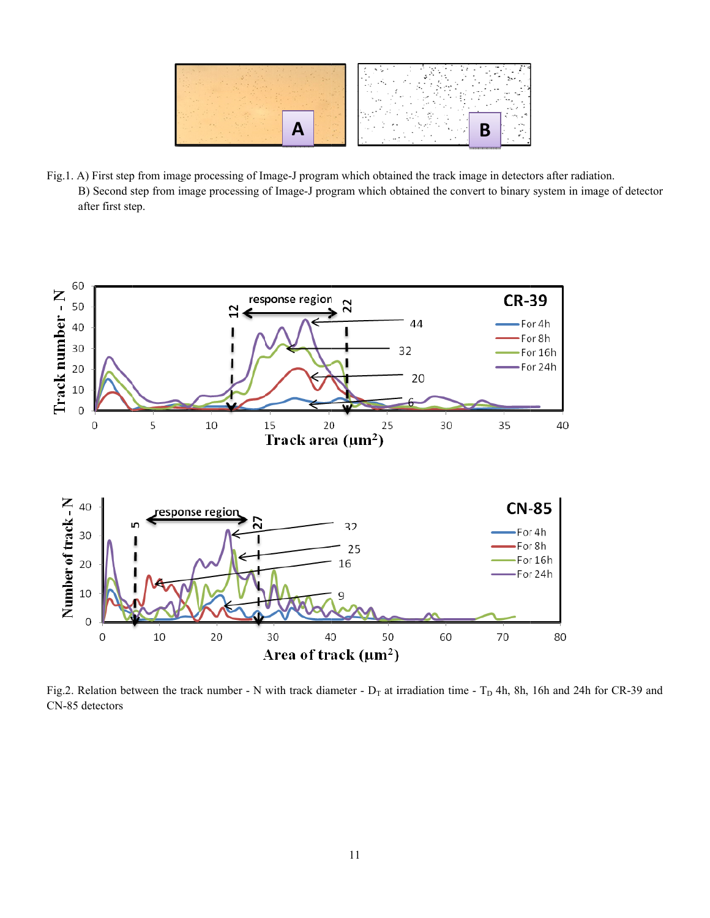

Fig.1. A) First step from image processing of Image-J program which obtained the track image in detectors after radiation. B) Second step from image processing of Image-J program which obtained the convert to binary system in image of detector after first step.



Fig.2. Relation between the track number - N with track diameter -  $D_T$  at irradiation time -  $T_D$  4h, 8h, 16h and 24h for CR-39 and CN-85 detectors